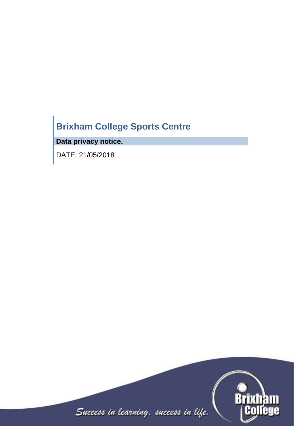# **Brixham College Sports Centre**

**Data privacy notice.**

DATE: 21/05/2018

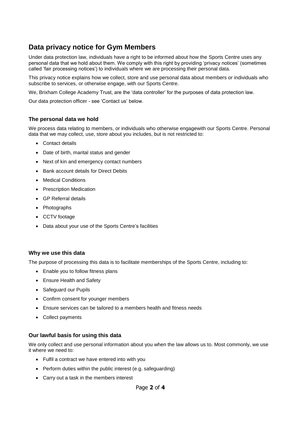# **Data privacy notice for Gym Members**

Under data protection law, individuals have a right to be informed about how the Sports Centre uses any personal data that we hold about them. We comply with this right by providing 'privacy notices' (sometimes called 'fair processing notices') to individuals where we are processing their personal data.

This privacy notice explains how we collect, store and use personal data about members or individuals who subscribe to services, or otherwise engage, with our Sports Centre.

We, Brixham College Academy Trust, are the 'data controller' for the purposes of data protection law.

Our data protection officer - see 'Contact us' below.

#### **The personal data we hold**

We process data relating to members, or individuals who otherwise engagewith our Sports Centre. Personal data that we may collect, use, store about you includes, but is not restricted to:

- Contact details
- Date of birth, marital status and gender
- Next of kin and emergency contact numbers
- Bank account details for Direct Debits
- Medical Conditions
- Prescription Medication
- GP Referral details
- Photographs
- CCTV footage
- Data about your use of the Sports Centre's facilities

#### **Why we use this data**

The purpose of processing this data is to facilitate memberships of the Sports Centre, including to:

- Enable you to follow fitness plans
- Ensure Health and Safety
- Safeguard our Pupils
- Confirm consent for younger members
- Ensure services can be tailored to a members health and fitness needs
- Collect payments

#### **Our lawful basis for using this data**

We only collect and use personal information about you when the law allows us to. Most commonly, we use it where we need to:

- Fulfil a contract we have entered into with you
- Perform duties within the public interest (e.g. safeguarding)
- Carry out a task in the members interest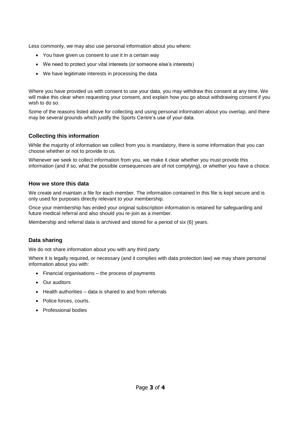Less commonly, we may also use personal information about you where:

- You have given us consent to use it in a certain way
- We need to protect your vital interests (or someone else's interests)
- We have legitimate interests in processing the data

Where you have provided us with consent to use your data, you may withdraw this consent at any time. We will make this clear when requesting your consent, and explain how you go about withdrawing consent if you wish to do so.

Some of the reasons listed above for collecting and using personal information about you overlap, and there may be several grounds which justify the Sports Centre's use of your data.

### **Collecting this information**

While the majority of information we collect from you is mandatory, there is some information that you can choose whether or not to provide to us.

Whenever we seek to collect information from you, we make it clear whether you must provide this information (and if so, what the possible consequences are of not complying), or whether you have a choice.

#### **How we store this data**

We create and maintain a file for each member. The information contained in this file is kept secure and is only used for purposes directly relevant to your membership.

Once your membership has ended your original subscription information is retained for safeguarding and future medical referral and also should you re-join as a member.

Membership and referral data is archived and stored for a period of six (6) years.

#### **Data sharing**

We do not share information about you with any third party

Where it is legally required, or necessary (and it complies with data protection law) we may share personal information about you with:

- Financial organisations the process of payments
- Our auditors
- Health authorities data is shared to and from referrals
- Police forces, courts.
- Professional bodies